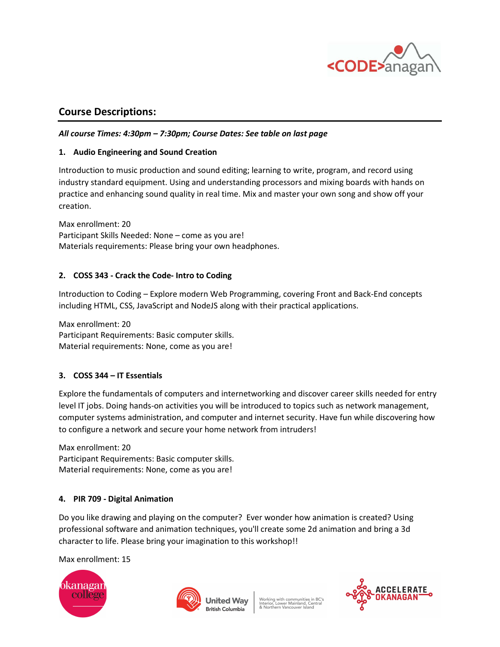

# Course Descriptions:

## All course Times: 4:30pm – 7:30pm; Course Dates: See table on last page

#### 1. Audio Engineering and Sound Creation

Introduction to music production and sound editing; learning to write, program, and record using industry standard equipment. Using and understanding processors and mixing boards with hands on practice and enhancing sound quality in real time. Mix and master your own song and show off your creation.

Max enrollment: 20 Participant Skills Needed: None – come as you are! Materials requirements: Please bring your own headphones.

# 2. COSS 343 - Crack the Code- Intro to Coding

Introduction to Coding – Explore modern Web Programming, covering Front and Back-End concepts including HTML, CSS, JavaScript and NodeJS along with their practical applications.

Max enrollment: 20 Participant Requirements: Basic computer skills. Material requirements: None, come as you are!

# 3. COSS 344 – IT Essentials

Explore the fundamentals of computers and internetworking and discover career skills needed for entry level IT jobs. Doing hands-on activities you will be introduced to topics such as network management, computer systems administration, and computer and internet security. Have fun while discovering how to configure a network and secure your home network from intruders!

Max enrollment: 20 Participant Requirements: Basic computer skills. Material requirements: None, come as you are!

# 4. PIR 709 - Digital Animation

Do you like drawing and playing on the computer? Ever wonder how animation is created? Using professional software and animation techniques, you'll create some 2d animation and bring a 3d character to life. Please bring your imagination to this workshop!!

Max enrollment: 15





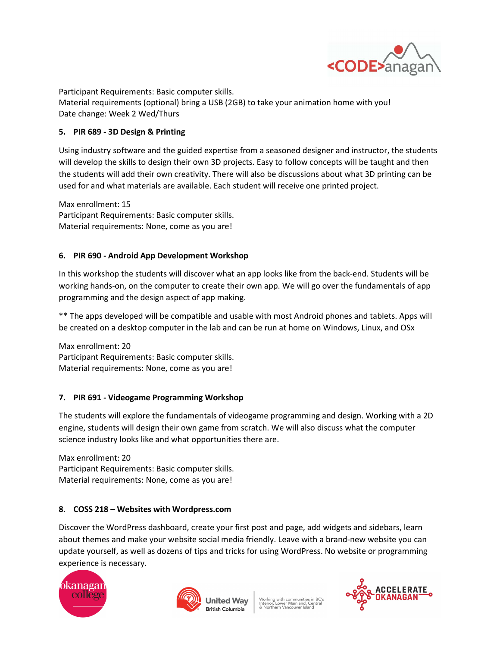

Participant Requirements: Basic computer skills. Material requirements (optional) bring a USB (2GB) to take your animation home with you! Date change: Week 2 Wed/Thurs

#### 5. PIR 689 - 3D Design & Printing

Using industry software and the guided expertise from a seasoned designer and instructor, the students will develop the skills to design their own 3D projects. Easy to follow concepts will be taught and then the students will add their own creativity. There will also be discussions about what 3D printing can be used for and what materials are available. Each student will receive one printed project.

Max enrollment: 15 Participant Requirements: Basic computer skills. Material requirements: None, come as you are!

#### 6. PIR 690 - Android App Development Workshop

In this workshop the students will discover what an app looks like from the back-end. Students will be working hands-on, on the computer to create their own app. We will go over the fundamentals of app programming and the design aspect of app making.

\*\* The apps developed will be compatible and usable with most Android phones and tablets. Apps will be created on a desktop computer in the lab and can be run at home on Windows, Linux, and OSx

Max enrollment: 20 Participant Requirements: Basic computer skills. Material requirements: None, come as you are!

# 7. PIR 691 - Videogame Programming Workshop

The students will explore the fundamentals of videogame programming and design. Working with a 2D engine, students will design their own game from scratch. We will also discuss what the computer science industry looks like and what opportunities there are.

Max enrollment: 20 Participant Requirements: Basic computer skills. Material requirements: None, come as you are!

#### 8. COSS 218 – Websites with Wordpress.com

Discover the WordPress dashboard, create your first post and page, add widgets and sidebars, learn about themes and make your website social media friendly. Leave with a brand-new website you can update yourself, as well as dozens of tips and tricks for using WordPress. No website or programming experience is necessary.





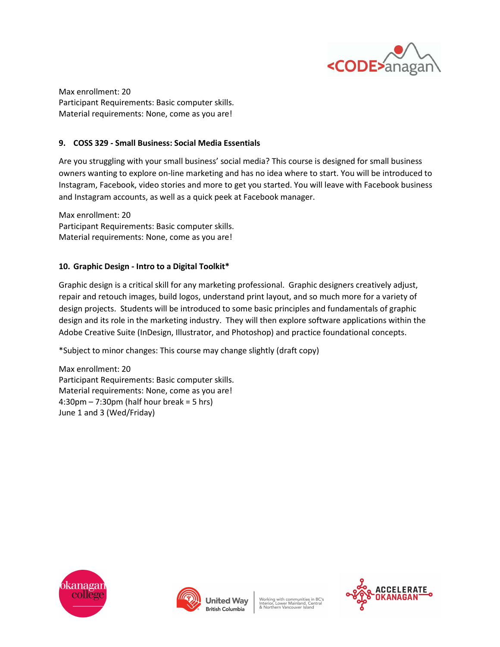

Max enrollment: 20 Participant Requirements: Basic computer skills. Material requirements: None, come as you are!

## 9. COSS 329 - Small Business: Social Media Essentials

Are you struggling with your small business' social media? This course is designed for small business owners wanting to explore on-line marketing and has no idea where to start. You will be introduced to Instagram, Facebook, video stories and more to get you started. You will leave with Facebook business and Instagram accounts, as well as a quick peek at Facebook manager.

Max enrollment: 20 Participant Requirements: Basic computer skills. Material requirements: None, come as you are!

#### 10. Graphic Design - Intro to a Digital Toolkit\*

Graphic design is a critical skill for any marketing professional. Graphic designers creatively adjust, repair and retouch images, build logos, understand print layout, and so much more for a variety of design projects. Students will be introduced to some basic principles and fundamentals of graphic design and its role in the marketing industry. They will then explore software applications within the Adobe Creative Suite (InDesign, Illustrator, and Photoshop) and practice foundational concepts.

\*Subject to minor changes: This course may change slightly (draft copy)

Max enrollment: 20 Participant Requirements: Basic computer skills. Material requirements: None, come as you are!  $4:30 \text{pm} - 7:30 \text{pm}$  (half hour break = 5 hrs) June 1 and 3 (Wed/Friday)





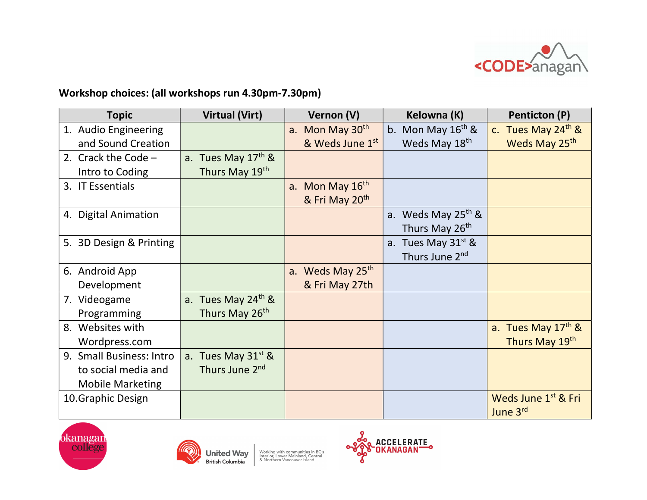

# Workshop choices: (all workshops run 4.30pm-7.30pm)

| <b>Topic</b>             | <b>Virtual (Virt)</b>          | Vernon (V)                   | Kelowna (K)                       | Penticton (P)                               |
|--------------------------|--------------------------------|------------------------------|-----------------------------------|---------------------------------------------|
| 1. Audio Engineering     |                                | a. Mon May 30 <sup>th</sup>  | b. Mon May $16th$ &               | c. Tues May $24th$ &                        |
| and Sound Creation       |                                | & Weds June 1st              | Weds May 18 <sup>th</sup>         | Weds May 25 <sup>th</sup>                   |
| 2. Crack the Code $-$    | a. Tues May $17th$ &           |                              |                                   |                                             |
| Intro to Coding          | Thurs May 19th                 |                              |                                   |                                             |
| 3. IT Essentials         |                                | a. Mon May 16th              |                                   |                                             |
|                          |                                | & Fri May 20 <sup>th</sup>   |                                   |                                             |
| 4. Digital Animation     |                                |                              | a. Weds May 25 <sup>th</sup> &    |                                             |
|                          |                                |                              | Thurs May 26 <sup>th</sup>        |                                             |
| 5. 3D Design & Printing  |                                |                              | Tues May 31 <sup>st</sup> &<br>a. |                                             |
|                          |                                |                              | Thurs June 2 <sup>nd</sup>        |                                             |
| 6. Android App           |                                | a. Weds May 25 <sup>th</sup> |                                   |                                             |
| Development              |                                | & Fri May 27th               |                                   |                                             |
| 7. Videogame             | a. Tues May 24 <sup>th</sup> & |                              |                                   |                                             |
| Programming              | Thurs May 26 <sup>th</sup>     |                              |                                   |                                             |
| 8. Websites with         |                                |                              |                                   | a. Tues May 17 <sup>th</sup> &              |
| Wordpress.com            |                                |                              |                                   | Thurs May 19th                              |
| 9. Small Business: Intro | a. Tues May $31^{st}$ &        |                              |                                   |                                             |
| to social media and      | Thurs June 2 <sup>nd</sup>     |                              |                                   |                                             |
| <b>Mobile Marketing</b>  |                                |                              |                                   |                                             |
| 10. Graphic Design       |                                |                              |                                   | Weds June 1 <sup>st</sup> & Fri<br>June 3rd |